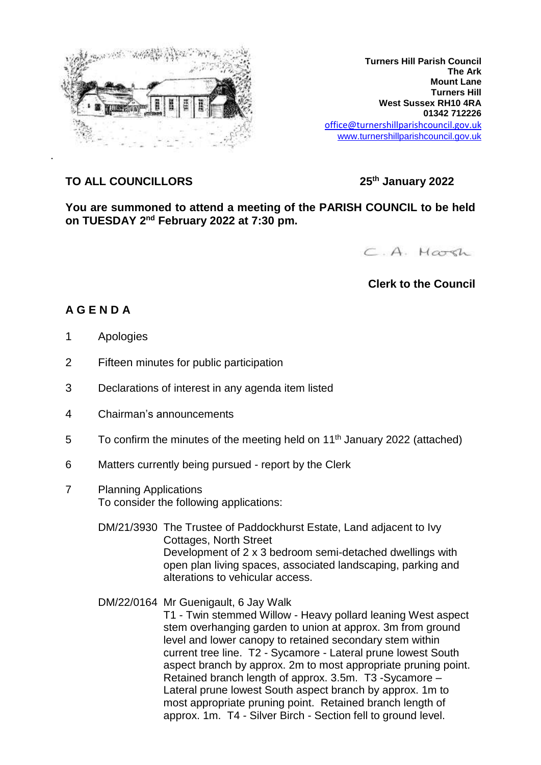

**Turners Hill Parish Council The Ark Mount Lane Turners Hill West Sussex RH10 4RA 01342 712226** office@turnershillparishcouncil.gov.uk [www.turnershillparishcouncil.gov.uk](http://www.turnershillparishcouncil.gov.uk/)

## **TO ALL COUNCILLORS 25th January 2022**

**You are summoned to attend a meeting of the PARISH COUNCIL to be held on TUESDAY 2 nd February 2022 at 7:30 pm.**



## **Clerk to the Council**

## **A G E N D A**

- 1 Apologies
- 2 Fifteen minutes for public participation
- 3 Declarations of interest in any agenda item listed
- 4 Chairman's announcements
- $5$  To confirm the minutes of the meeting held on 11<sup>th</sup> January 2022 (attached)
- 6 Matters currently being pursued report by the Clerk
- 7 Planning Applications To consider the following applications:
	- DM/21/3930 The Trustee of Paddockhurst Estate, Land adjacent to Ivy Cottages, North Street Development of 2 x 3 bedroom semi-detached dwellings with open plan living spaces, associated landscaping, parking and alterations to vehicular access.
	- DM/22/0164 Mr Guenigault, 6 Jay Walk T1 - Twin stemmed Willow - Heavy pollard leaning West aspect stem overhanging garden to union at approx. 3m from ground level and lower canopy to retained secondary stem within current tree line. T2 - Sycamore - Lateral prune lowest South aspect branch by approx. 2m to most appropriate pruning point. Retained branch length of approx. 3.5m. T3 -Sycamore – Lateral prune lowest South aspect branch by approx. 1m to most appropriate pruning point. Retained branch length of approx. 1m. T4 - Silver Birch - Section fell to ground level.